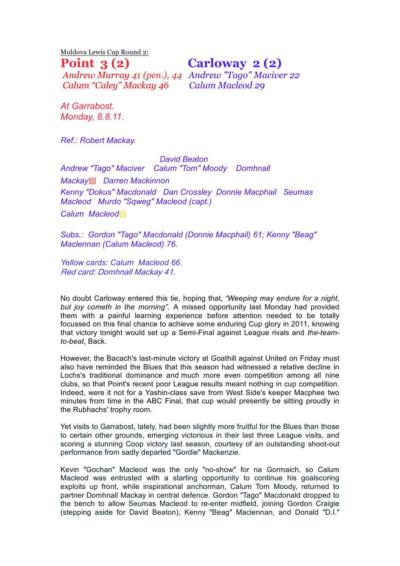Moldova Lewis Cup Round 2:

*Andrew Murray 41 (pen.), 44 Andrew "Tago" Maciver 22 Calum "Caley" Mackay 46 Calum Macleod 29*

**Point 3 (2) Carloway 2 (2)** 

*At Garrabost. Monday, 8.8.11.*

*Ref.: Robert Mackay.*

 *David Beaton Andrew "Tago" Maciver Calum "Tom" Moody Domhnall Mackay*▩ *Darren Mackinnon Kenny "Dokus" Macdonald Dan Crossley Donnie Macphail Seumas Macleod Murdo "Sqweg" Macleod (capt.) Calum Macleod*▩

*Subs.: Gordon "Tago" Macdonald (Donnie Macphail) 61; Kenny "Beag" Maclennan (Calum Macleod) 76.*

*Yellow cards: Calum Macleod 66. Red card: Domhnall Mackay 41.*

No doubt Carloway entered this tie, hoping that, *"Weeping may endure for a night, but joy cometh in the morning".*  A missed opportunity last Monday had provided them with a painful learning experience before attention needed to be totally focussed on this final chance to achieve some enduring Cup glory in 2011, knowing that victory tonight would set up a Semi-Final against League rivals and *the-teamto-beat*, Back.

However, the Bacach's last-minute victory at Goathill against United on Friday must also have reminded the Blues that this season had witnessed a relative decline in Lochs's traditional dominance and much more even competition among all nine clubs, so that Point's recent poor League results meant nothing in cup competition. Indeed, were it not for a Yashin-class save from West Side's keeper Macphee two minutes from time in the ABC Final, that cup would presently be sitting proudly in the Rubhachs' trophy room.

Yet visits to Garrabost, lately, had been slightly more fruitful for the Blues than those to certain other grounds, emerging victorious in their last three League visits, and scoring a stunning Coop victory last season, courtesy of an outstanding shoot-out performance from sadly departed "Gordie" Mackenzie.

Kevin "Gochan" Macleod was the only "no-show" for na Gormaich, so Calum Macleod was entrusted with a starting opportunity to continue his goalscoring exploits up front, while inspirational anchorman, Calum Tom Moody, returned to partner Domhnall Mackay in central defence. Gordon "Tago" Macdonald dropped to the bench to allow Seumas Macleod to re-enter midfield, joining Gordon Craigie (stepping aside for David Beaton), Kenny "Beag" Maclennan, and Donald "D.I."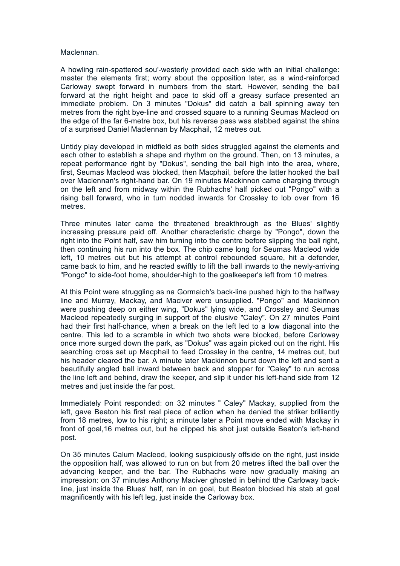## Maclennan.

A howling rain-spattered sou'-westerly provided each side with an initial challenge: master the elements first; worry about the opposition later, as a wind-reinforced Carloway swept forward in numbers from the start. However, sending the ball forward at the right height and pace to skid off a greasy surface presented an immediate problem. On 3 minutes "Dokus" did catch a ball spinning away ten metres from the right bye-line and crossed square to a running Seumas Macleod on the edge of the far 6-metre box, but his reverse pass was stabbed against the shins of a surprised Daniel Maclennan by Macphail, 12 metres out.

Untidy play developed in midfield as both sides struggled against the elements and each other to establish a shape and rhythm on the ground. Then, on 13 minutes, a repeat performance right by "Dokus", sending the ball high into the area, where, first, Seumas Macleod was blocked, then Macphail, before the latter hooked the ball over Maclennan's right-hand bar. On 19 minutes Mackinnon came charging through on the left and from midway within the Rubhachs' half picked out "Pongo" with a rising ball forward, who in turn nodded inwards for Crossley to lob over from 16 metres.

Three minutes later came the threatened breakthrough as the Blues' slightly increasing pressure paid off. Another characteristic charge by "Pongo", down the right into the Point half, saw him turning into the centre before slipping the ball right, then continuing his run into the box. The chip came long for Seumas Macleod wide left, 10 metres out but his attempt at control rebounded square, hit a defender, came back to him, and he reacted swiftly to lift the ball inwards to the newly-arriving "Pongo" to side-foot home, shoulder-high to the goalkeeper's left from 10 metres.

At this Point were struggling as na Gormaich's back-line pushed high to the halfway line and Murray, Mackay, and Maciver were unsupplied. "Pongo" and Mackinnon were pushing deep on either wing, "Dokus" lying wide, and Crossley and Seumas Macleod repeatedly surging in support of the elusive "Caley". On 27 minutes Point had their first half-chance, when a break on the left led to a low diagonal into the centre. This led to a scramble in which two shots were blocked, before Carloway once more surged down the park, as "Dokus" was again picked out on the right. His searching cross set up Macphail to feed Crossley in the centre, 14 metres out, but his header cleared the bar. A minute later Mackinnon burst down the left and sent a beautifully angled ball inward between back and stopper for "Caley" to run across the line left and behind, draw the keeper, and slip it under his left-hand side from 12 metres and just inside the far post.

Immediately Point responded: on 32 minutes " Caley" Mackay, supplied from the left, gave Beaton his first real piece of action when he denied the striker brilliantly from 18 metres, low to his right; a minute later a Point move ended with Mackay in front of goal,16 metres out, but he clipped his shot just outside Beaton's left-hand post.

On 35 minutes Calum Macleod, looking suspiciously offside on the right, just inside the opposition half, was allowed to run on but from 20 metres lifted the ball over the advancing keeper, and the bar. The Rubhachs were now gradually making an impression: on 37 minutes Anthony Maciver ghosted in behind tthe Carloway backline, just inside the Blues' half, ran in on goal, but Beaton blocked his stab at goal magnificently with his left leg, just inside the Carloway box.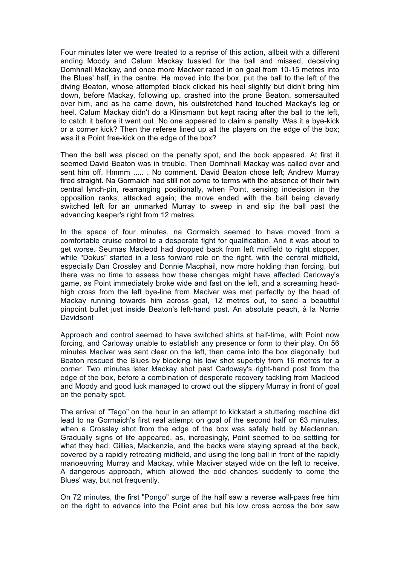Four minutes later we were treated to a reprise of this action, allbeit with a different ending. Moody and Calum Mackay tussled for the ball and missed, deceiving Domhnall Mackay, and once more Maciver raced in on goal from 10-15 metres into the Blues' half, in the centre. He moved into the box, put the ball to the left of the diving Beaton, whose attempted block clicked his heel slightly but didn't bring him down, before Mackay, following up, crashed into the prone Beaton, somersaulted over him, and as he came down, his outstretched hand touched Mackay's leg or heel. Calum Mackay didn't do a Klinsmann but kept racing after the ball to the left, to catch it before it went out. No one appeared to claim a penalty. Was it a bye-kick or a corner kick? Then the referee lined up all the players on the edge of the box; was it a Point free-kick on the edge of the box?

Then the ball was placed on the penalty spot, and the book appeared. At first it seemed David Beaton was in trouble. Then Domhnall Mackay was called over and sent him off. Hmmm ..... . No comment. David Beaton chose left; Andrew Murray fired straight. Na Gormaich had still not come to terms with the absence of their twin central lynch-pin, rearranging positionally, when Point, sensing indecision in the opposition ranks, attacked again; the move ended with the ball being cleverly switched left for an unmarked Murray to sweep in and slip the ball past the advancing keeper's right from 12 metres.

In the space of four minutes, na Gormaich seemed to have moved from a comfortable cruise control to a desperate fight for qualification. And it was about to get worse. Seumas Macleod had dropped back from left midfield to right stopper, while "Dokus" started in a less forward role on the right, with the central midfield, especially Dan Crossley and Donnie Macphail, now more holding than forcing, but there was no time to assess how these changes might have affected Carloway's game, as Point immediately broke wide and fast on the left, and a screaming headhigh cross from the left bye-line from Maciver was met perfectly by the head of Mackay running towards him across goal, 12 metres out, to send a beautiful pinpoint bullet just inside Beaton's left-hand post. An absolute peach, à la Norrie Davidson!

Approach and control seemed to have switched shirts at half-time, with Point now forcing, and Carloway unable to establish any presence or form to their play. On 56 minutes Maciver was sent clear on the left, then came into the box diagonally, but Beaton rescued the Blues by blocking his low shot superbly from 16 metres for a corner. Two minutes later Mackay shot past Carloway's right-hand post from the edge of the box, before a combination of desperate recovery tackling from Macleod and Moody and good luck managed to crowd out the slippery Murray in front of goal on the penalty spot.

The arrival of "Tago" on the hour in an attempt to kickstart a stuttering machine did lead to na Gormaich's first real attempt on goal of the second half on 63 minutes, when a Crossley shot from the edge of the box was safely held by Maclennan. Gradually signs of life appeared, as, increasingly, Point seemed to be settling for what they had. Gillies, Mackenzie, and the backs were staying spread at the back, covered by a rapidly retreating midfield, and using the long ball in front of the rapidly manoeuvring Murray and Mackay, while Maciver stayed wide on the left to receive. A dangerous approach, which allowed the odd chances suddenly to come the Blues' way, but not frequently.

On 72 minutes, the first "Pongo" surge of the half saw a reverse wall-pass free him on the right to advance into the Point area but his low cross across the box saw